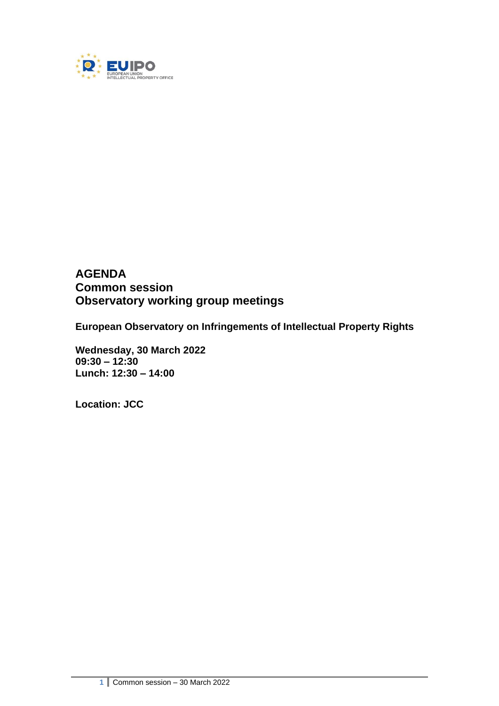

# **AGENDA Common session Observatory working group meetings**

**European Observatory on Infringements of Intellectual Property Rights**

**Wednesday, 30 March 2022 09:30 – 12:30 Lunch: 12:30 – 14:00**

**Location: JCC**